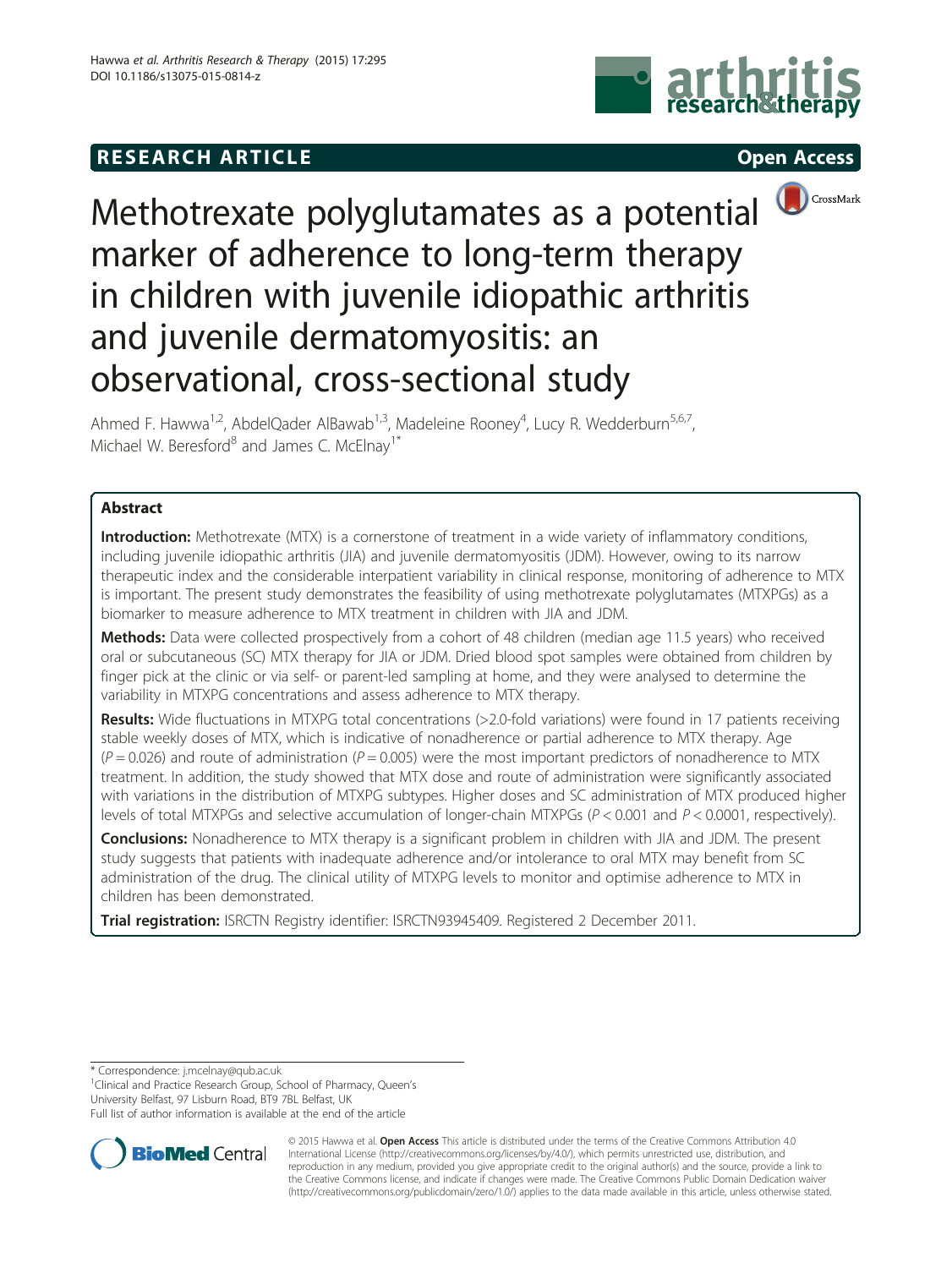# **RESEARCH ARTICLE Example 2014 The SEAR CH ACCESS**







Methotrexate polyglutamates as a potential marker of adherence to long-term therapy in children with juvenile idiopathic arthritis and juvenile dermatomyositis: an observational, cross-sectional study

Ahmed F. Hawwa<sup>1,2</sup>, AbdelQader AlBawab<sup>1,3</sup>, Madeleine Rooney<sup>4</sup>, Lucy R. Wedderburn<sup>5,6,7</sup>, Michael W. Beresford<sup>8</sup> and James C. McElnav<sup>1\*</sup>

## Abstract

Introduction: Methotrexate (MTX) is a cornerstone of treatment in a wide variety of inflammatory conditions, including juvenile idiopathic arthritis (JIA) and juvenile dermatomyositis (JDM). However, owing to its narrow therapeutic index and the considerable interpatient variability in clinical response, monitoring of adherence to MTX is important. The present study demonstrates the feasibility of using methotrexate polyglutamates (MTXPGs) as a biomarker to measure adherence to MTX treatment in children with JIA and JDM.

Methods: Data were collected prospectively from a cohort of 48 children (median age 11.5 years) who received oral or subcutaneous (SC) MTX therapy for JIA or JDM. Dried blood spot samples were obtained from children by finger pick at the clinic or via self- or parent-led sampling at home, and they were analysed to determine the variability in MTXPG concentrations and assess adherence to MTX therapy.

Results: Wide fluctuations in MTXPG total concentrations (>2.0-fold variations) were found in 17 patients receiving stable weekly doses of MTX, which is indicative of nonadherence or partial adherence to MTX therapy. Age  $(P = 0.026)$  and route of administration  $(P = 0.005)$  were the most important predictors of nonadherence to MTX treatment. In addition, the study showed that MTX dose and route of administration were significantly associated with variations in the distribution of MTXPG subtypes. Higher doses and SC administration of MTX produced higher levels of total MTXPGs and selective accumulation of longer-chain MTXPGs ( $P < 0.001$  and  $P < 0.0001$ , respectively).

**Conclusions:** Nonadherence to MTX therapy is a significant problem in children with JIA and JDM. The present study suggests that patients with inadequate adherence and/or intolerance to oral MTX may benefit from SC administration of the drug. The clinical utility of MTXPG levels to monitor and optimise adherence to MTX in children has been demonstrated.

Trial registration: ISRCTN Registry identifier: [ISRCTN93945409](http://www.controlled-trials.com/ISRCTN93945409). Registered 2 December 2011.

\* Correspondence: [j.mcelnay@qub.ac.uk](mailto:j.mcelnay@qub.ac.uk) <sup>1</sup>

<sup>1</sup> Clinical and Practice Research Group, School of Pharmacy, Queen's

University Belfast, 97 Lisburn Road, BT9 7BL Belfast, UK

Full list of author information is available at the end of the article



© 2015 Hawwa et al. Open Access This article is distributed under the terms of the Creative Commons Attribution 4.0 International License [\(http://creativecommons.org/licenses/by/4.0/](http://creativecommons.org/licenses/by/4.0/)), which permits unrestricted use, distribution, and reproduction in any medium, provided you give appropriate credit to the original author(s) and the source, provide a link to the Creative Commons license, and indicate if changes were made. The Creative Commons Public Domain Dedication waiver [\(http://creativecommons.org/publicdomain/zero/1.0/](http://creativecommons.org/publicdomain/zero/1.0/)) applies to the data made available in this article, unless otherwise stated.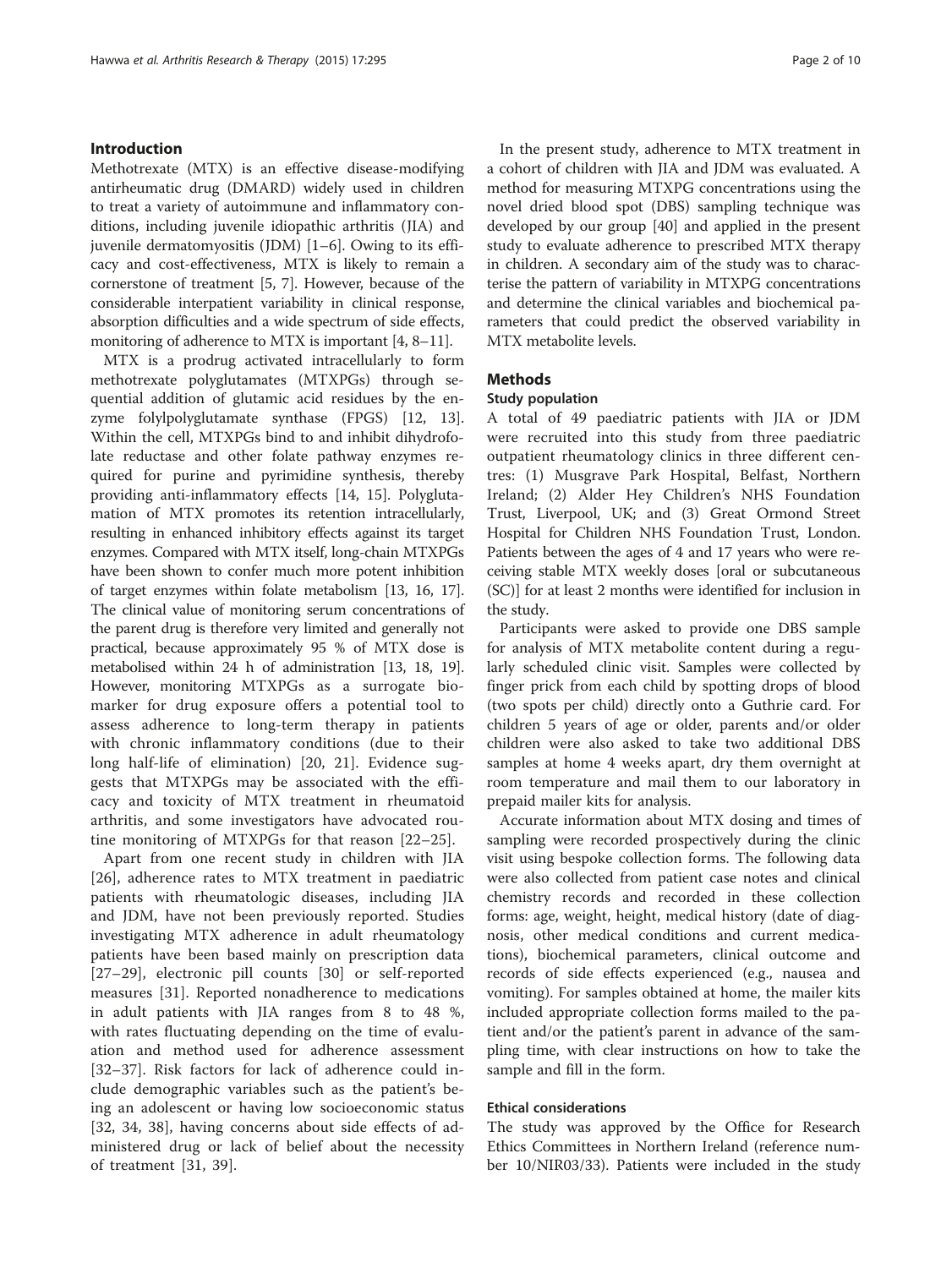#### Introduction

Methotrexate (MTX) is an effective disease-modifying antirheumatic drug (DMARD) widely used in children to treat a variety of autoimmune and inflammatory conditions, including juvenile idiopathic arthritis (JIA) and juvenile dermatomyositis (JDM) [\[1](#page-8-0)–[6\]](#page-8-0). Owing to its efficacy and cost-effectiveness, MTX is likely to remain a cornerstone of treatment [[5](#page-8-0), [7](#page-8-0)]. However, because of the considerable interpatient variability in clinical response, absorption difficulties and a wide spectrum of side effects, monitoring of adherence to MTX is important [\[4](#page-8-0), [8](#page-8-0)–[11](#page-8-0)].

MTX is a prodrug activated intracellularly to form methotrexate polyglutamates (MTXPGs) through sequential addition of glutamic acid residues by the enzyme folylpolyglutamate synthase (FPGS) [[12, 13](#page-8-0)]. Within the cell, MTXPGs bind to and inhibit dihydrofolate reductase and other folate pathway enzymes required for purine and pyrimidine synthesis, thereby providing anti-inflammatory effects [[14, 15](#page-8-0)]. Polyglutamation of MTX promotes its retention intracellularly, resulting in enhanced inhibitory effects against its target enzymes. Compared with MTX itself, long-chain MTXPGs have been shown to confer much more potent inhibition of target enzymes within folate metabolism [[13](#page-8-0), [16](#page-8-0), [17](#page-8-0)]. The clinical value of monitoring serum concentrations of the parent drug is therefore very limited and generally not practical, because approximately 95 % of MTX dose is metabolised within 24 h of administration [[13](#page-8-0), [18, 19](#page-8-0)]. However, monitoring MTXPGs as a surrogate biomarker for drug exposure offers a potential tool to assess adherence to long-term therapy in patients with chronic inflammatory conditions (due to their long half-life of elimination) [\[20](#page-8-0), [21](#page-8-0)]. Evidence suggests that MTXPGs may be associated with the efficacy and toxicity of MTX treatment in rheumatoid arthritis, and some investigators have advocated routine monitoring of MTXPGs for that reason [[22](#page-8-0)–[25\]](#page-8-0).

Apart from one recent study in children with JIA [[26\]](#page-8-0), adherence rates to MTX treatment in paediatric patients with rheumatologic diseases, including JIA and JDM, have not been previously reported. Studies investigating MTX adherence in adult rheumatology patients have been based mainly on prescription data [[27](#page-8-0)–[29\]](#page-8-0), electronic pill counts [\[30](#page-8-0)] or self-reported measures [[31\]](#page-8-0). Reported nonadherence to medications in adult patients with JIA ranges from 8 to 48 %, with rates fluctuating depending on the time of evaluation and method used for adherence assessment [[32](#page-8-0)–[37\]](#page-8-0). Risk factors for lack of adherence could include demographic variables such as the patient's being an adolescent or having low socioeconomic status [[32, 34](#page-8-0), [38\]](#page-8-0), having concerns about side effects of administered drug or lack of belief about the necessity of treatment [[31, 39\]](#page-8-0).

In the present study, adherence to MTX treatment in a cohort of children with JIA and JDM was evaluated. A method for measuring MTXPG concentrations using the novel dried blood spot (DBS) sampling technique was developed by our group [[40](#page-8-0)] and applied in the present study to evaluate adherence to prescribed MTX therapy in children. A secondary aim of the study was to characterise the pattern of variability in MTXPG concentrations and determine the clinical variables and biochemical parameters that could predict the observed variability in MTX metabolite levels.

#### Methods

#### Study population

A total of 49 paediatric patients with JIA or JDM were recruited into this study from three paediatric outpatient rheumatology clinics in three different centres: (1) Musgrave Park Hospital, Belfast, Northern Ireland; (2) Alder Hey Children's NHS Foundation Trust, Liverpool, UK; and (3) Great Ormond Street Hospital for Children NHS Foundation Trust, London. Patients between the ages of 4 and 17 years who were receiving stable MTX weekly doses [oral or subcutaneous (SC)] for at least 2 months were identified for inclusion in the study.

Participants were asked to provide one DBS sample for analysis of MTX metabolite content during a regularly scheduled clinic visit. Samples were collected by finger prick from each child by spotting drops of blood (two spots per child) directly onto a Guthrie card. For children 5 years of age or older, parents and/or older children were also asked to take two additional DBS samples at home 4 weeks apart, dry them overnight at room temperature and mail them to our laboratory in prepaid mailer kits for analysis.

Accurate information about MTX dosing and times of sampling were recorded prospectively during the clinic visit using bespoke collection forms. The following data were also collected from patient case notes and clinical chemistry records and recorded in these collection forms: age, weight, height, medical history (date of diagnosis, other medical conditions and current medications), biochemical parameters, clinical outcome and records of side effects experienced (e.g., nausea and vomiting). For samples obtained at home, the mailer kits included appropriate collection forms mailed to the patient and/or the patient's parent in advance of the sampling time, with clear instructions on how to take the sample and fill in the form.

#### Ethical considerations

The study was approved by the Office for Research Ethics Committees in Northern Ireland (reference number 10/NIR03/33). Patients were included in the study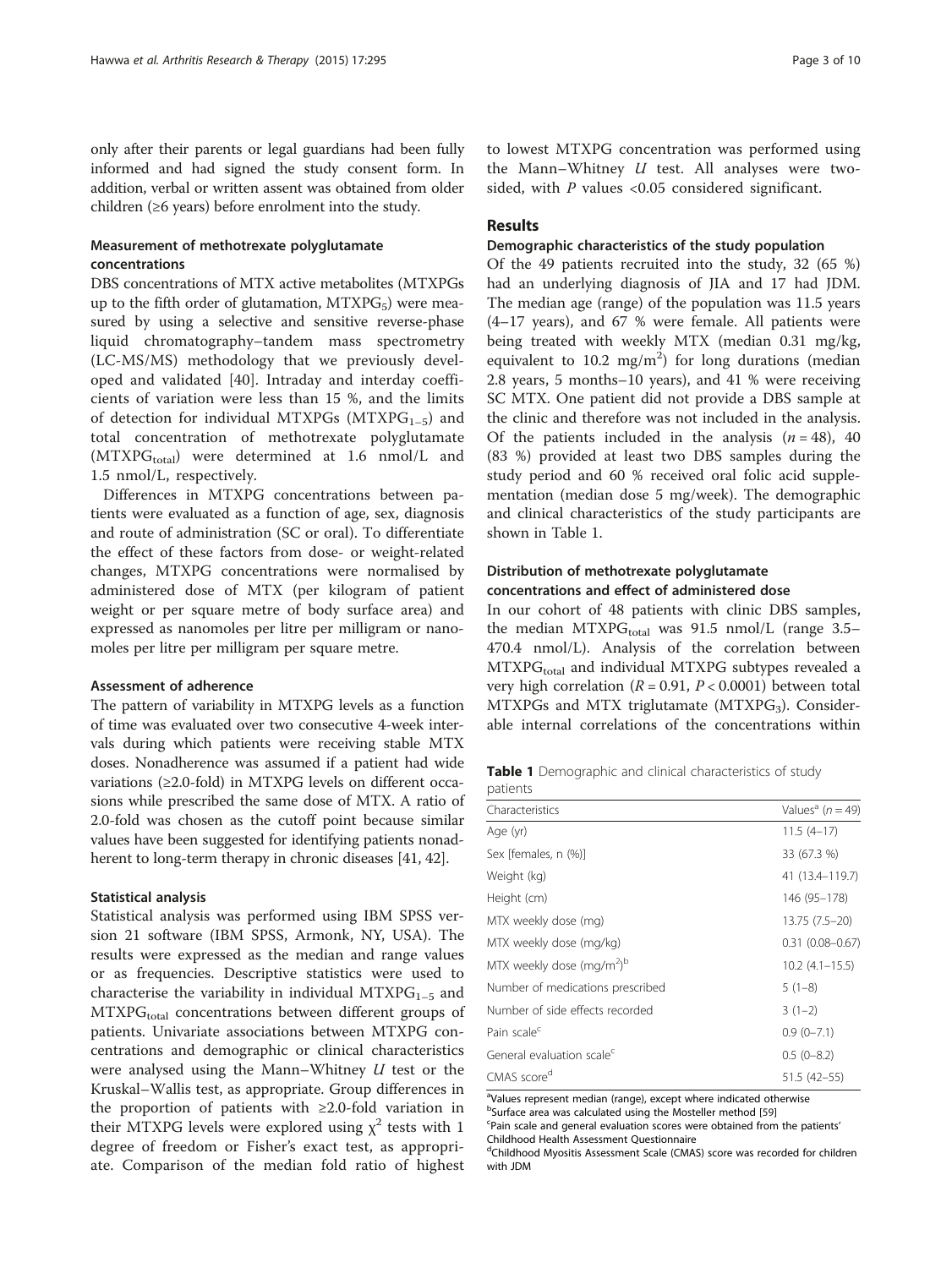only after their parents or legal guardians had been fully informed and had signed the study consent form. In addition, verbal or written assent was obtained from older children (≥6 years) before enrolment into the study.

### Measurement of methotrexate polyglutamate concentrations

DBS concentrations of MTX active metabolites (MTXPGs up to the fifth order of glutamation,  $MTXPG<sub>5</sub>$ ) were measured by using a selective and sensitive reverse-phase liquid chromatography–tandem mass spectrometry (LC-MS/MS) methodology that we previously developed and validated [\[40](#page-8-0)]. Intraday and interday coefficients of variation were less than 15 %, and the limits of detection for individual MTXPGs (MTXPG<sub>1-5</sub>) and total concentration of methotrexate polyglutamate  $(MTXPG<sub>total</sub>)$  were determined at 1.6 nmol/L and 1.5 nmol/L, respectively.

Differences in MTXPG concentrations between patients were evaluated as a function of age, sex, diagnosis and route of administration (SC or oral). To differentiate the effect of these factors from dose- or weight-related changes, MTXPG concentrations were normalised by administered dose of MTX (per kilogram of patient weight or per square metre of body surface area) and expressed as nanomoles per litre per milligram or nanomoles per litre per milligram per square metre.

#### Assessment of adherence

The pattern of variability in MTXPG levels as a function of time was evaluated over two consecutive 4-week intervals during which patients were receiving stable MTX doses. Nonadherence was assumed if a patient had wide variations (≥2.0-fold) in MTXPG levels on different occasions while prescribed the same dose of MTX. A ratio of 2.0-fold was chosen as the cutoff point because similar values have been suggested for identifying patients nonad-herent to long-term therapy in chronic diseases [[41, 42\]](#page-8-0).

#### Statistical analysis

Statistical analysis was performed using IBM SPSS version 21 software (IBM SPSS, Armonk, NY, USA). The results were expressed as the median and range values or as frequencies. Descriptive statistics were used to characterise the variability in individual MTXP $G_{1-5}$  and  $MTXPG<sub>total</sub>$  concentrations between different groups of patients. Univariate associations between MTXPG concentrations and demographic or clinical characteristics were analysed using the Mann–Whitney  $U$  test or the Kruskal–Wallis test, as appropriate. Group differences in the proportion of patients with ≥2.0-fold variation in their MTXPG levels were explored using  $\chi^2$  tests with 1 degree of freedom or Fisher's exact test, as appropriate. Comparison of the median fold ratio of highest

## Results

#### Demographic characteristics of the study population

Of the 49 patients recruited into the study, 32 (65 %) had an underlying diagnosis of JIA and 17 had JDM. The median age (range) of the population was 11.5 years (4–17 years), and 67 % were female. All patients were being treated with weekly MTX (median 0.31 mg/kg, equivalent to 10.2 mg/m<sup>2</sup>) for long durations (median 2.8 years, 5 months–10 years), and 41 % were receiving SC MTX. One patient did not provide a DBS sample at the clinic and therefore was not included in the analysis. Of the patients included in the analysis  $(n = 48)$ , 40 (83 %) provided at least two DBS samples during the study period and 60 % received oral folic acid supplementation (median dose 5 mg/week). The demographic and clinical characteristics of the study participants are shown in Table 1.

### Distribution of methotrexate polyglutamate concentrations and effect of administered dose

In our cohort of 48 patients with clinic DBS samples, the median MTXP $G_{total}$  was 91.5 nmol/L (range 3.5– 470.4 nmol/L). Analysis of the correlation between  $MTXPG<sub>total</sub>$  and individual MTXPG subtypes revealed a very high correlation ( $R = 0.91$ ,  $P < 0.0001$ ) between total MTXPGs and MTX triglutamate  $(MTXPG<sub>3</sub>)$ . Considerable internal correlations of the concentrations within

Table 1 Demographic and clinical characteristics of study pationts

| Values <sup>a</sup> ( $n = 49$ ) |
|----------------------------------|
| $11.5(4-17)$                     |
| 33 (67.3 %)                      |
| 41 (13.4–119.7)                  |
| 146 (95–178)                     |
| 13.75 (7.5–20)                   |
| $0.31$ $(0.08 - 0.67)$           |
| $10.2(4.1 - 15.5)$               |
| $5(1-8)$                         |
| $3(1-2)$                         |
| $0.9(0 - 7.1)$                   |
| $0.5(0-8.2)$                     |
| 51.5 (42–55)                     |
|                                  |

<sup>a</sup>Values represent median (range), except where indicated otherwise  $b$ Surface area was calculated using the Mosteller method [\[59](#page-9-0)]<br>Seain scale and general evaluation scores were obtained from

Pain scale and general evaluation scores were obtained from the patients' Childhood Health Assessment Questionnaire

<sup>d</sup>Childhood Myositis Assessment Scale (CMAS) score was recorded for children with JDM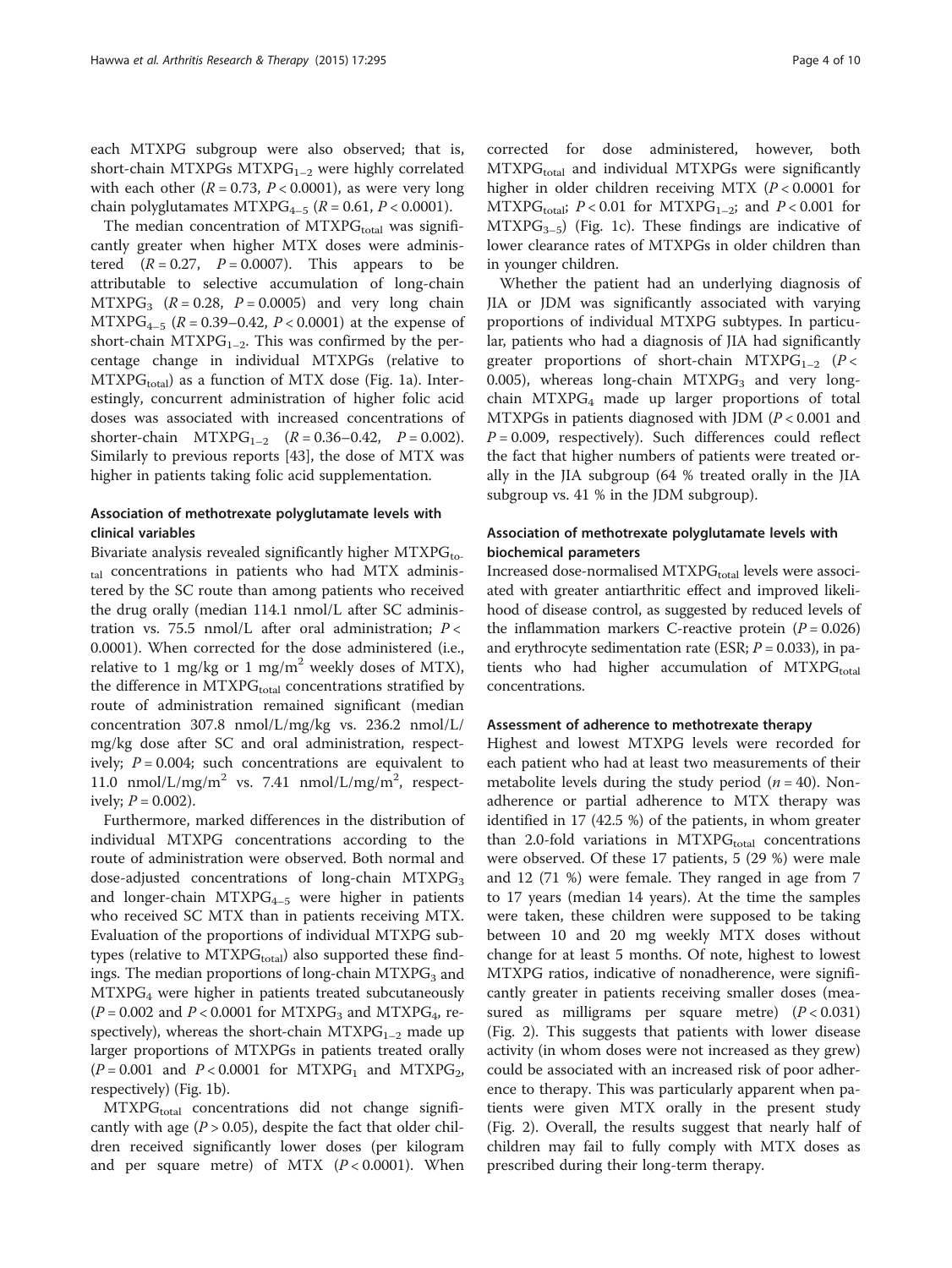each MTXPG subgroup were also observed; that is, short-chain MTXPGs MTXPG<sub>1-2</sub> were highly correlated with each other ( $R = 0.73$ ,  $P < 0.0001$ ), as were very long chain polyglutamates MTXPG<sub>4-5</sub> ( $R = 0.61$ ,  $P < 0.0001$ ).

The median concentration of  $MTXPG<sub>total</sub>$  was significantly greater when higher MTX doses were administered  $(R = 0.27, P = 0.0007)$ . This appears to be attributable to selective accumulation of long-chain  $MTXPG_3$  ( $R = 0.28$ ,  $P = 0.0005$ ) and very long chain  $MTXPG_{4-5}$  ( $R = 0.39-0.42$ ,  $P < 0.0001$ ) at the expense of short-chain MTXPG<sub>1–2</sub>. This was confirmed by the percentage change in individual MTXPGs (relative to  $MTXPG<sub>total</sub>$  as a function of MTX dose (Fig. [1a\)](#page-4-0). Interestingly, concurrent administration of higher folic acid doses was associated with increased concentrations of shorter-chain  $MTXPG_{1-2}$   $(R = 0.36-0.42, P = 0.002)$ . Similarly to previous reports [\[43](#page-9-0)], the dose of MTX was higher in patients taking folic acid supplementation.

## Association of methotrexate polyglutamate levels with clinical variables

Bivariate analysis revealed significantly higher  $MTXPG_{\text{to}}$ tal concentrations in patients who had MTX administered by the SC route than among patients who received the drug orally (median 114.1 nmol/L after SC administration vs. 75.5 nmol/L after oral administration;  $P <$ 0.0001). When corrected for the dose administered (i.e., relative to 1 mg/kg or 1 mg/m<sup>2</sup> weekly doses of MTX), the difference in  $MTXPG<sub>total</sub>$  concentrations stratified by route of administration remained significant (median concentration 307.8 nmol/L/mg/kg vs. 236.2 nmol/L/ mg/kg dose after SC and oral administration, respectively;  $P = 0.004$ ; such concentrations are equivalent to 11.0 nmol/L/mg/m<sup>2</sup> vs. 7.41 nmol/L/mg/m<sup>2</sup>, respectively;  $P = 0.002$ ).

Furthermore, marked differences in the distribution of individual MTXPG concentrations according to the route of administration were observed. Both normal and dose-adjusted concentrations of long-chain  $MTXPG<sub>3</sub>$ and longer-chain  $MTXPG_{4-5}$  were higher in patients who received SC MTX than in patients receiving MTX. Evaluation of the proportions of individual MTXPG subtypes (relative to  $MTXPG<sub>total</sub>$ ) also supported these findings. The median proportions of long-chain  $MTXPG<sub>3</sub>$  and  $MTXPG<sub>4</sub>$  were higher in patients treated subcutaneously  $(P = 0.002$  and  $P < 0.0001$  for MTXPG<sub>3</sub> and MTXPG<sub>4</sub>, respectively), whereas the short-chain  $MTXPG_{1-2}$  made up larger proportions of MTXPGs in patients treated orally  $(P = 0.001$  and  $P < 0.0001$  for MTXPG<sub>1</sub> and MTXPG<sub>2</sub>, respectively) (Fig. [1b\)](#page-4-0).

 $MTXPG<sub>total</sub>$  concentrations did not change significantly with age  $(P > 0.05)$ , despite the fact that older children received significantly lower doses (per kilogram and per square metre) of MTX  $(P < 0.0001)$ . When

corrected for dose administered, however, both MTXPG<sub>total</sub> and individual MTXPGs were significantly higher in older children receiving MTX (P < 0.0001 for  $MTXPG<sub>total</sub>; P < 0.01$  for  $MTXPG<sub>1-2</sub>;$  and  $P < 0.001$  for  $MTXPG_{3-5}$ ) (Fig. [1c\)](#page-4-0). These findings are indicative of lower clearance rates of MTXPGs in older children than in younger children.

Whether the patient had an underlying diagnosis of JIA or JDM was significantly associated with varying proportions of individual MTXPG subtypes. In particular, patients who had a diagnosis of JIA had significantly greater proportions of short-chain  $MTXPG_{1-2}$  (P < 0.005), whereas long-chain  $MTXPG<sub>3</sub>$  and very longchain MTXP $G_4$  made up larger proportions of total MTXPGs in patients diagnosed with JDM  $(P < 0.001$  and  $P = 0.009$ , respectively). Such differences could reflect the fact that higher numbers of patients were treated orally in the JIA subgroup (64 % treated orally in the JIA subgroup vs. 41 % in the JDM subgroup).

## Association of methotrexate polyglutamate levels with biochemical parameters

Increased dose-normalised MTXPG<sub>total</sub> levels were associated with greater antiarthritic effect and improved likelihood of disease control, as suggested by reduced levels of the inflammation markers C-reactive protein  $(P = 0.026)$ and erythrocyte sedimentation rate (ESR;  $P = 0.033$ ), in patients who had higher accumulation of  $MTXPG<sub>total</sub>$ concentrations.

#### Assessment of adherence to methotrexate therapy

Highest and lowest MTXPG levels were recorded for each patient who had at least two measurements of their metabolite levels during the study period ( $n = 40$ ). Nonadherence or partial adherence to MTX therapy was identified in 17 (42.5 %) of the patients, in whom greater than 2.0-fold variations in MTXP $G_{total}$  concentrations were observed. Of these 17 patients, 5 (29 %) were male and 12 (71 %) were female. They ranged in age from 7 to 17 years (median 14 years). At the time the samples were taken, these children were supposed to be taking between 10 and 20 mg weekly MTX doses without change for at least 5 months. Of note, highest to lowest MTXPG ratios, indicative of nonadherence, were significantly greater in patients receiving smaller doses (measured as milligrams per square metre)  $(P < 0.031)$ (Fig. [2\)](#page-5-0). This suggests that patients with lower disease activity (in whom doses were not increased as they grew) could be associated with an increased risk of poor adherence to therapy. This was particularly apparent when patients were given MTX orally in the present study (Fig. [2\)](#page-5-0). Overall, the results suggest that nearly half of children may fail to fully comply with MTX doses as prescribed during their long-term therapy.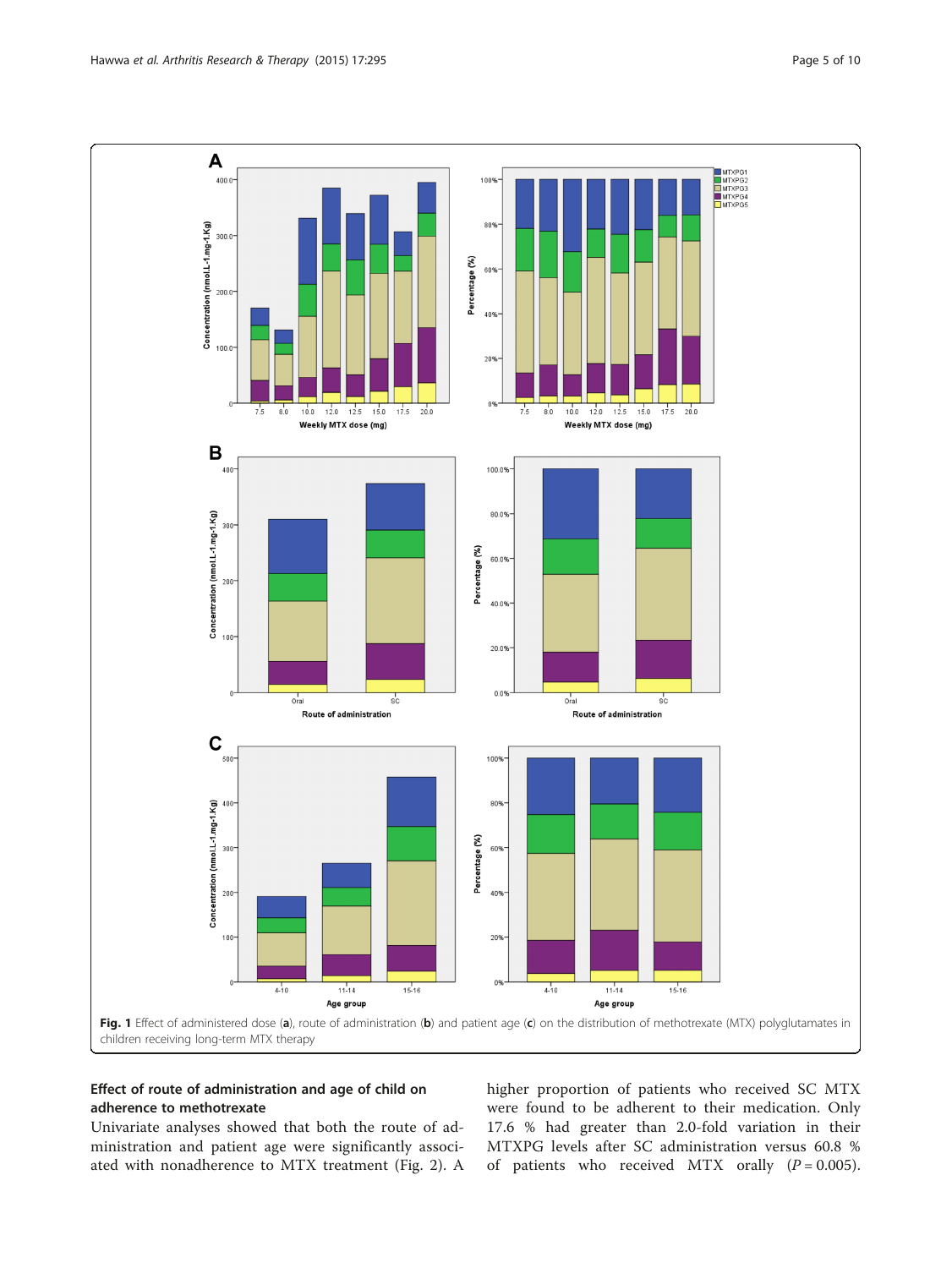<span id="page-4-0"></span>

## Effect of route of administration and age of child on adherence to methotrexate

Univariate analyses showed that both the route of administration and patient age were significantly associated with nonadherence to MTX treatment (Fig. [2](#page-5-0)). A higher proportion of patients who received SC MTX were found to be adherent to their medication. Only 17.6 % had greater than 2.0-fold variation in their MTXPG levels after SC administration versus 60.8 % of patients who received MTX orally  $(P = 0.005)$ .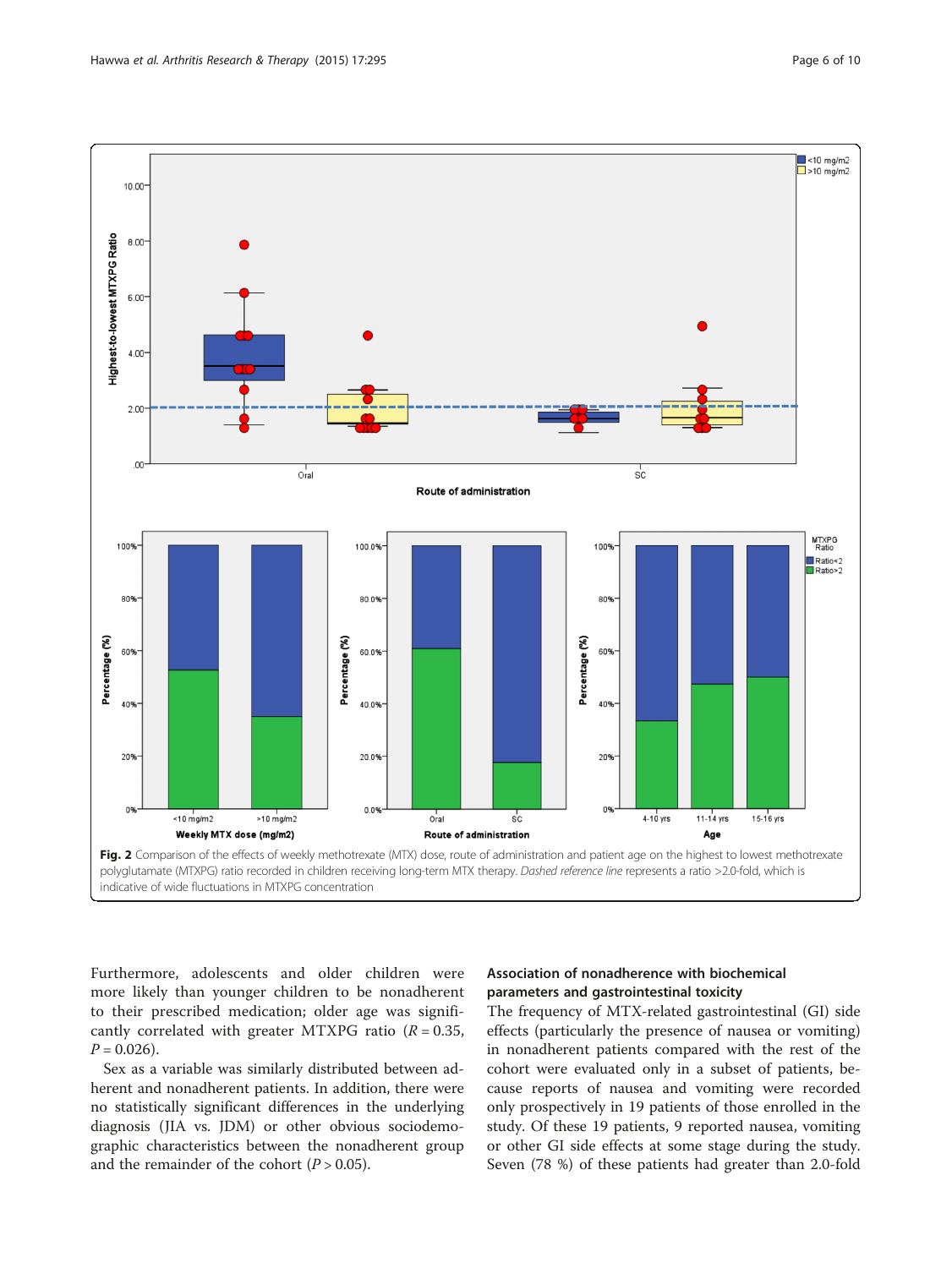<span id="page-5-0"></span>

Furthermore, adolescents and older children were more likely than younger children to be nonadherent to their prescribed medication; older age was significantly correlated with greater MTXPG ratio  $(R = 0.35,$  $P = 0.026$ .

Sex as a variable was similarly distributed between adherent and nonadherent patients. In addition, there were no statistically significant differences in the underlying diagnosis (JIA vs. JDM) or other obvious sociodemographic characteristics between the nonadherent group and the remainder of the cohort  $(P > 0.05)$ .

## Association of nonadherence with biochemical parameters and gastrointestinal toxicity

The frequency of MTX-related gastrointestinal (GI) side effects (particularly the presence of nausea or vomiting) in nonadherent patients compared with the rest of the cohort were evaluated only in a subset of patients, because reports of nausea and vomiting were recorded only prospectively in 19 patients of those enrolled in the study. Of these 19 patients, 9 reported nausea, vomiting or other GI side effects at some stage during the study. Seven (78 %) of these patients had greater than 2.0-fold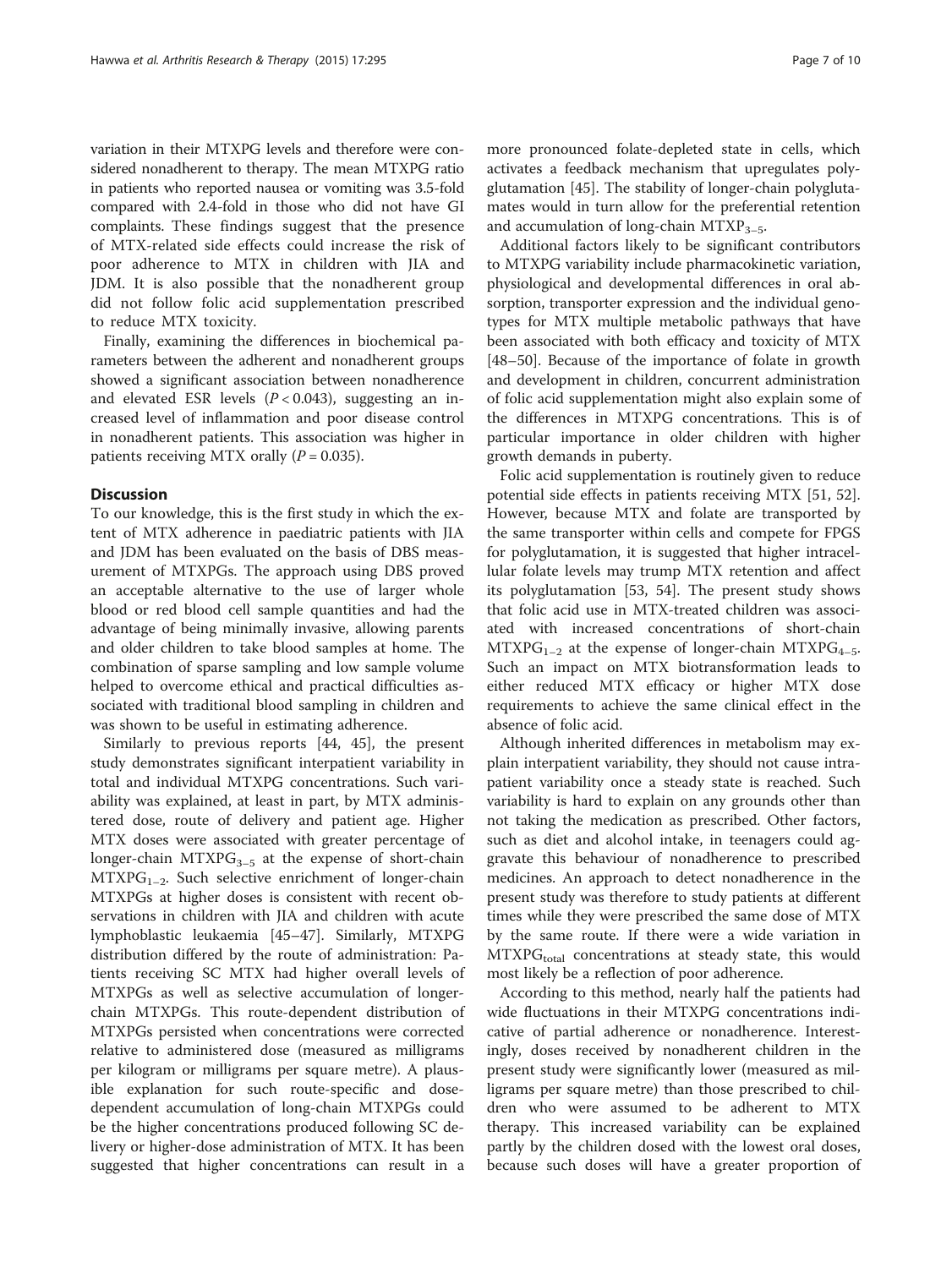variation in their MTXPG levels and therefore were considered nonadherent to therapy. The mean MTXPG ratio in patients who reported nausea or vomiting was 3.5-fold compared with 2.4-fold in those who did not have GI complaints. These findings suggest that the presence of MTX-related side effects could increase the risk of poor adherence to MTX in children with JIA and JDM. It is also possible that the nonadherent group did not follow folic acid supplementation prescribed to reduce MTX toxicity.

Finally, examining the differences in biochemical parameters between the adherent and nonadherent groups showed a significant association between nonadherence and elevated ESR levels  $(P < 0.043)$ , suggesting an increased level of inflammation and poor disease control in nonadherent patients. This association was higher in patients receiving MTX orally  $(P = 0.035)$ .

#### **Discussion**

To our knowledge, this is the first study in which the extent of MTX adherence in paediatric patients with JIA and JDM has been evaluated on the basis of DBS measurement of MTXPGs. The approach using DBS proved an acceptable alternative to the use of larger whole blood or red blood cell sample quantities and had the advantage of being minimally invasive, allowing parents and older children to take blood samples at home. The combination of sparse sampling and low sample volume helped to overcome ethical and practical difficulties associated with traditional blood sampling in children and was shown to be useful in estimating adherence.

Similarly to previous reports [\[44](#page-9-0), [45](#page-9-0)], the present study demonstrates significant interpatient variability in total and individual MTXPG concentrations. Such variability was explained, at least in part, by MTX administered dose, route of delivery and patient age. Higher MTX doses were associated with greater percentage of longer-chain  $MTXPG_{3-5}$  at the expense of short-chain  $MTXPG<sub>1-2</sub>$ . Such selective enrichment of longer-chain MTXPGs at higher doses is consistent with recent observations in children with JIA and children with acute lymphoblastic leukaemia [\[45](#page-9-0)–[47\]](#page-9-0). Similarly, MTXPG distribution differed by the route of administration: Patients receiving SC MTX had higher overall levels of MTXPGs as well as selective accumulation of longerchain MTXPGs. This route-dependent distribution of MTXPGs persisted when concentrations were corrected relative to administered dose (measured as milligrams per kilogram or milligrams per square metre). A plausible explanation for such route-specific and dosedependent accumulation of long-chain MTXPGs could be the higher concentrations produced following SC delivery or higher-dose administration of MTX. It has been suggested that higher concentrations can result in a more pronounced folate-depleted state in cells, which activates a feedback mechanism that upregulates polyglutamation [[45\]](#page-9-0). The stability of longer-chain polyglutamates would in turn allow for the preferential retention and accumulation of long-chain  $MTXP_{3-5}$ .

Additional factors likely to be significant contributors to MTXPG variability include pharmacokinetic variation, physiological and developmental differences in oral absorption, transporter expression and the individual genotypes for MTX multiple metabolic pathways that have been associated with both efficacy and toxicity of MTX [[48](#page-9-0)–[50](#page-9-0)]. Because of the importance of folate in growth and development in children, concurrent administration of folic acid supplementation might also explain some of the differences in MTXPG concentrations. This is of particular importance in older children with higher growth demands in puberty.

Folic acid supplementation is routinely given to reduce potential side effects in patients receiving MTX [\[51, 52](#page-9-0)]. However, because MTX and folate are transported by the same transporter within cells and compete for FPGS for polyglutamation, it is suggested that higher intracellular folate levels may trump MTX retention and affect its polyglutamation [[53](#page-9-0), [54](#page-9-0)]. The present study shows that folic acid use in MTX-treated children was associated with increased concentrations of short-chain  $MTXPG<sub>1-2</sub>$  at the expense of longer-chain  $MTXPG<sub>4-5</sub>$ . Such an impact on MTX biotransformation leads to either reduced MTX efficacy or higher MTX dose requirements to achieve the same clinical effect in the absence of folic acid.

Although inherited differences in metabolism may explain interpatient variability, they should not cause intrapatient variability once a steady state is reached. Such variability is hard to explain on any grounds other than not taking the medication as prescribed. Other factors, such as diet and alcohol intake, in teenagers could aggravate this behaviour of nonadherence to prescribed medicines. An approach to detect nonadherence in the present study was therefore to study patients at different times while they were prescribed the same dose of MTX by the same route. If there were a wide variation in  $MTXPG<sub>total</sub>$  concentrations at steady state, this would most likely be a reflection of poor adherence.

According to this method, nearly half the patients had wide fluctuations in their MTXPG concentrations indicative of partial adherence or nonadherence. Interestingly, doses received by nonadherent children in the present study were significantly lower (measured as milligrams per square metre) than those prescribed to children who were assumed to be adherent to MTX therapy. This increased variability can be explained partly by the children dosed with the lowest oral doses, because such doses will have a greater proportion of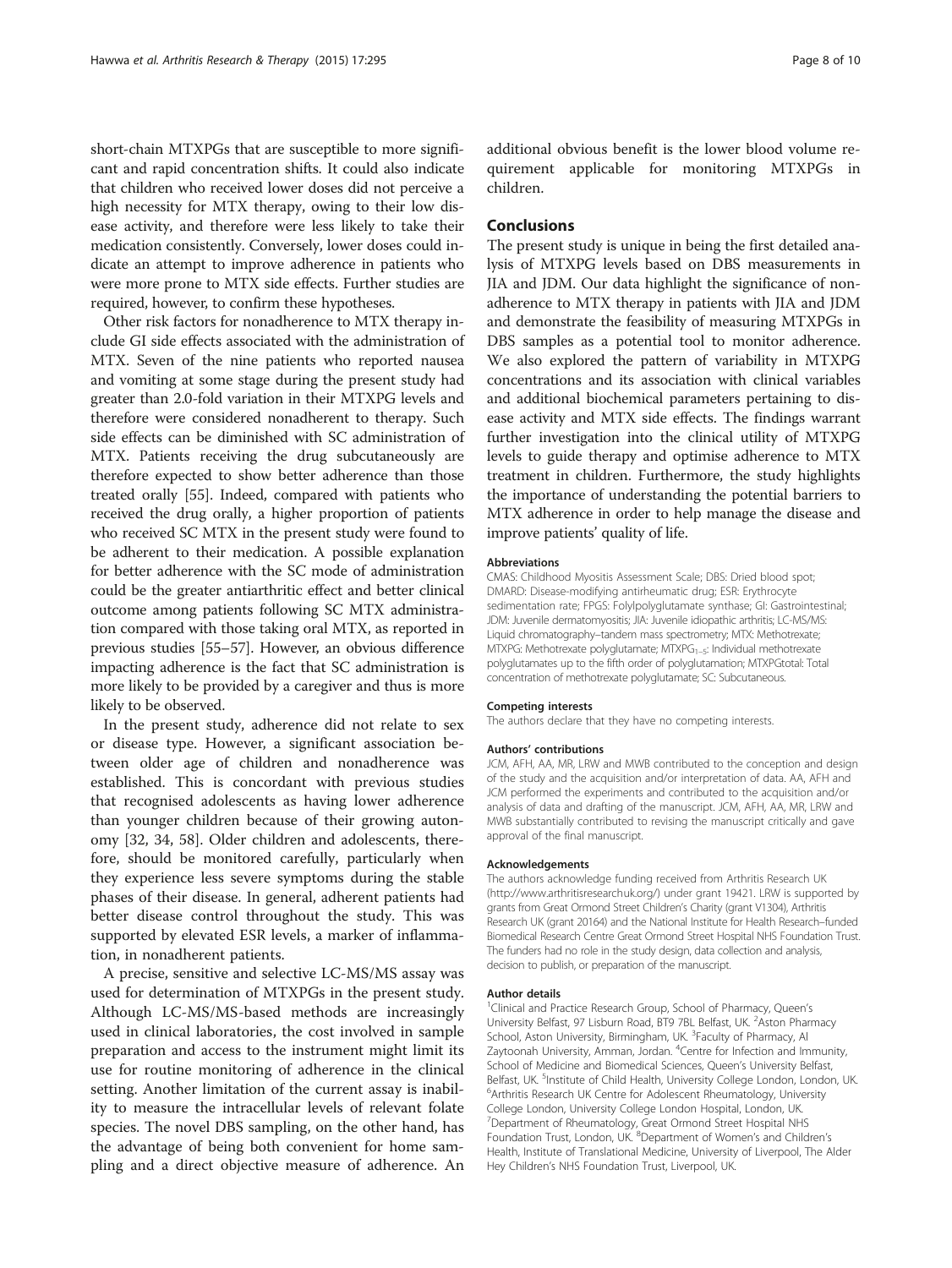short-chain MTXPGs that are susceptible to more significant and rapid concentration shifts. It could also indicate that children who received lower doses did not perceive a high necessity for MTX therapy, owing to their low disease activity, and therefore were less likely to take their medication consistently. Conversely, lower doses could indicate an attempt to improve adherence in patients who were more prone to MTX side effects. Further studies are required, however, to confirm these hypotheses.

Other risk factors for nonadherence to MTX therapy include GI side effects associated with the administration of MTX. Seven of the nine patients who reported nausea and vomiting at some stage during the present study had greater than 2.0-fold variation in their MTXPG levels and therefore were considered nonadherent to therapy. Such side effects can be diminished with SC administration of MTX. Patients receiving the drug subcutaneously are therefore expected to show better adherence than those treated orally [\[55](#page-9-0)]. Indeed, compared with patients who received the drug orally, a higher proportion of patients who received SC MTX in the present study were found to be adherent to their medication. A possible explanation for better adherence with the SC mode of administration could be the greater antiarthritic effect and better clinical outcome among patients following SC MTX administration compared with those taking oral MTX, as reported in previous studies [[55](#page-9-0)–[57\]](#page-9-0). However, an obvious difference impacting adherence is the fact that SC administration is more likely to be provided by a caregiver and thus is more likely to be observed.

In the present study, adherence did not relate to sex or disease type. However, a significant association between older age of children and nonadherence was established. This is concordant with previous studies that recognised adolescents as having lower adherence than younger children because of their growing autonomy [\[32, 34](#page-8-0), [58\]](#page-9-0). Older children and adolescents, therefore, should be monitored carefully, particularly when they experience less severe symptoms during the stable phases of their disease. In general, adherent patients had better disease control throughout the study. This was supported by elevated ESR levels, a marker of inflammation, in nonadherent patients.

A precise, sensitive and selective LC-MS/MS assay was used for determination of MTXPGs in the present study. Although LC-MS/MS-based methods are increasingly used in clinical laboratories, the cost involved in sample preparation and access to the instrument might limit its use for routine monitoring of adherence in the clinical setting. Another limitation of the current assay is inability to measure the intracellular levels of relevant folate species. The novel DBS sampling, on the other hand, has the advantage of being both convenient for home sampling and a direct objective measure of adherence. An additional obvious benefit is the lower blood volume requirement applicable for monitoring MTXPGs in children.

## Conclusions

The present study is unique in being the first detailed analysis of MTXPG levels based on DBS measurements in JIA and JDM. Our data highlight the significance of nonadherence to MTX therapy in patients with JIA and JDM and demonstrate the feasibility of measuring MTXPGs in DBS samples as a potential tool to monitor adherence. We also explored the pattern of variability in MTXPG concentrations and its association with clinical variables and additional biochemical parameters pertaining to disease activity and MTX side effects. The findings warrant further investigation into the clinical utility of MTXPG levels to guide therapy and optimise adherence to MTX treatment in children. Furthermore, the study highlights the importance of understanding the potential barriers to MTX adherence in order to help manage the disease and improve patients' quality of life.

#### Abbreviations

CMAS: Childhood Myositis Assessment Scale; DBS: Dried blood spot; DMARD: Disease-modifying antirheumatic drug; ESR: Erythrocyte sedimentation rate; FPGS: Folylpolyglutamate synthase; GI: Gastrointestinal; JDM: Juvenile dermatomyositis; JIA: Juvenile idiopathic arthritis; LC-MS/MS: Liquid chromatography–tandem mass spectrometry; MTX: Methotrexate; MTXPG: Methotrexate polyglutamate; MTXPG<sub>1-5</sub>: Individual methotrexate polyglutamates up to the fifth order of polyglutamation; MTXPGtotal: Total concentration of methotrexate polyglutamate; SC: Subcutaneous.

#### Competing interests

The authors declare that they have no competing interests.

#### Authors' contributions

JCM, AFH, AA, MR, LRW and MWB contributed to the conception and design of the study and the acquisition and/or interpretation of data. AA, AFH and JCM performed the experiments and contributed to the acquisition and/or analysis of data and drafting of the manuscript. JCM, AFH, AA, MR, LRW and MWB substantially contributed to revising the manuscript critically and gave approval of the final manuscript.

#### Acknowledgements

The authors acknowledge funding received from Arthritis Research UK (<http://www.arthritisresearchuk.org/>) under grant 19421. LRW is supported by grants from Great Ormond Street Children's Charity (grant V1304), Arthritis Research UK (grant 20164) and the National Institute for Health Research–funded Biomedical Research Centre Great Ormond Street Hospital NHS Foundation Trust. The funders had no role in the study design, data collection and analysis, decision to publish, or preparation of the manuscript.

#### Author details

<sup>1</sup> Clinical and Practice Research Group, School of Pharmacy, Queen's University Belfast, 97 Lisburn Road, BT9 7BL Belfast, UK. <sup>2</sup>Aston Pharmacy School, Aston University, Birmingham, UK. <sup>3</sup> Faculty of Pharmacy, A Zaytoonah University, Amman, Jordan. <sup>4</sup>Centre for Infection and Immunity School of Medicine and Biomedical Sciences, Queen's University Belfast, Belfast, UK. <sup>5</sup>Institute of Child Health, University College London, London, UK.<br><sup>6</sup>Arthritic Pecearch UK Contre for Adelescent Phoumateleau, University <sup>6</sup> Arthritis Research UK Centre for Adolescent Rheumatology, University College London, University College London Hospital, London, UK. <sup>7</sup> Department of Rheumatology, Great Ormond Street Hospital NHS<br>Foundation Trust, London, UK. <sup>8</sup> Department of Women's and Children's Health, Institute of Translational Medicine, University of Liverpool, The Alder Hey Children's NHS Foundation Trust, Liverpool, UK.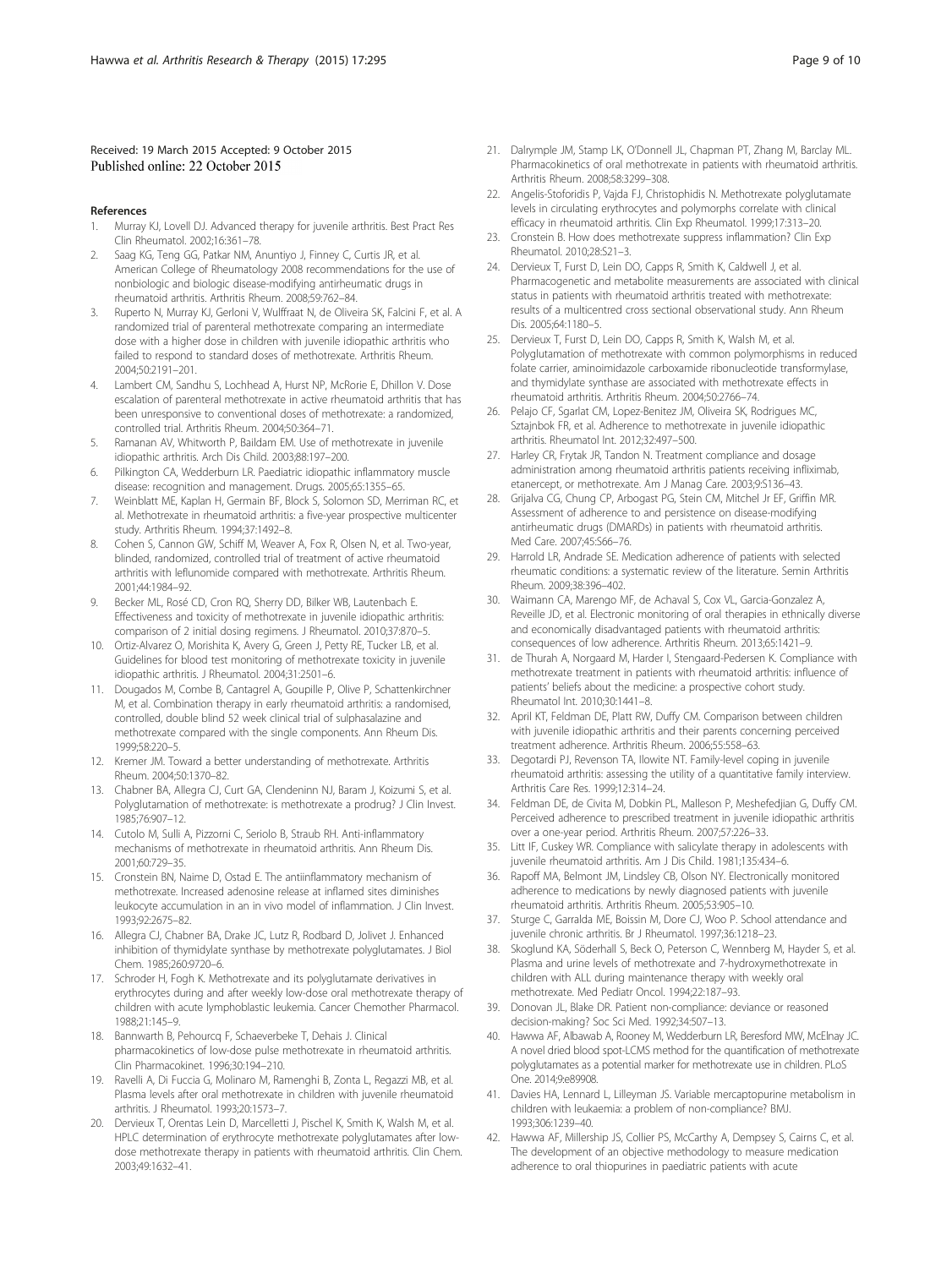#### <span id="page-8-0"></span>Received: 19 March 2015 Accepted: 9 October 2015 Published online: 22 October 2015

#### References

- 1. Murray KJ, Lovell DJ. Advanced therapy for juvenile arthritis. Best Pract Res Clin Rheumatol. 2002;16:361–78.
- 2. Saag KG, Teng GG, Patkar NM, Anuntiyo J, Finney C, Curtis JR, et al. American College of Rheumatology 2008 recommendations for the use of nonbiologic and biologic disease-modifying antirheumatic drugs in rheumatoid arthritis. Arthritis Rheum. 2008;59:762–84.
- 3. Ruperto N, Murray KJ, Gerloni V, Wulffraat N, de Oliveira SK, Falcini F, et al. A randomized trial of parenteral methotrexate comparing an intermediate dose with a higher dose in children with juvenile idiopathic arthritis who failed to respond to standard doses of methotrexate. Arthritis Rheum. 2004;50:2191–201.
- 4. Lambert CM, Sandhu S, Lochhead A, Hurst NP, McRorie E, Dhillon V. Dose escalation of parenteral methotrexate in active rheumatoid arthritis that has been unresponsive to conventional doses of methotrexate: a randomized, controlled trial. Arthritis Rheum. 2004;50:364–71.
- 5. Ramanan AV, Whitworth P, Baildam EM. Use of methotrexate in juvenile idiopathic arthritis. Arch Dis Child. 2003;88:197–200.
- 6. Pilkington CA, Wedderburn LR. Paediatric idiopathic inflammatory muscle disease: recognition and management. Drugs. 2005;65:1355–65.
- 7. Weinblatt ME, Kaplan H, Germain BF, Block S, Solomon SD, Merriman RC, et al. Methotrexate in rheumatoid arthritis: a five-year prospective multicenter study. Arthritis Rheum. 1994;37:1492–8.
- 8. Cohen S, Cannon GW, Schiff M, Weaver A, Fox R, Olsen N, et al. Two-year, blinded, randomized, controlled trial of treatment of active rheumatoid arthritis with leflunomide compared with methotrexate. Arthritis Rheum. 2001;44:1984–92.
- 9. Becker ML, Rosé CD, Cron RQ, Sherry DD, Bilker WB, Lautenbach E. Effectiveness and toxicity of methotrexate in juvenile idiopathic arthritis: comparison of 2 initial dosing regimens. J Rheumatol. 2010;37:870–5.
- 10. Ortiz-Alvarez O, Morishita K, Avery G, Green J, Petty RE, Tucker LB, et al. Guidelines for blood test monitoring of methotrexate toxicity in juvenile idiopathic arthritis. J Rheumatol. 2004;31:2501–6.
- 11. Dougados M, Combe B, Cantagrel A, Goupille P, Olive P, Schattenkirchner M, et al. Combination therapy in early rheumatoid arthritis: a randomised, controlled, double blind 52 week clinical trial of sulphasalazine and methotrexate compared with the single components. Ann Rheum Dis. 1999;58:220–5.
- 12. Kremer JM. Toward a better understanding of methotrexate. Arthritis Rheum. 2004;50:1370–82.
- 13. Chabner BA, Allegra CJ, Curt GA, Clendeninn NJ, Baram J, Koizumi S, et al. Polyglutamation of methotrexate: is methotrexate a prodrug? J Clin Invest. 1985;76:907–12.
- 14. Cutolo M, Sulli A, Pizzorni C, Seriolo B, Straub RH. Anti-inflammatory mechanisms of methotrexate in rheumatoid arthritis. Ann Rheum Dis. 2001;60:729–35.
- 15. Cronstein BN, Naime D, Ostad E. The antiinflammatory mechanism of methotrexate. Increased adenosine release at inflamed sites diminishes leukocyte accumulation in an in vivo model of inflammation. J Clin Invest. 1993;92:2675–82.
- 16. Allegra CJ, Chabner BA, Drake JC, Lutz R, Rodbard D, Jolivet J. Enhanced inhibition of thymidylate synthase by methotrexate polyglutamates. J Biol Chem. 1985;260:9720–6.
- 17. Schroder H, Fogh K. Methotrexate and its polyglutamate derivatives in erythrocytes during and after weekly low-dose oral methotrexate therapy of children with acute lymphoblastic leukemia. Cancer Chemother Pharmacol. 1988;21:145–9.
- 18. Bannwarth B, Pehourcq F, Schaeverbeke T, Dehais J. Clinical pharmacokinetics of low-dose pulse methotrexate in rheumatoid arthritis. Clin Pharmacokinet. 1996;30:194–210.
- 19. Ravelli A, Di Fuccia G, Molinaro M, Ramenghi B, Zonta L, Regazzi MB, et al. Plasma levels after oral methotrexate in children with juvenile rheumatoid arthritis. J Rheumatol. 1993;20:1573–7.
- 20. Dervieux T, Orentas Lein D, Marcelletti J, Pischel K, Smith K, Walsh M, et al. HPLC determination of erythrocyte methotrexate polyglutamates after lowdose methotrexate therapy in patients with rheumatoid arthritis. Clin Chem. 2003;49:1632–41.
- 21. Dalrymple JM, Stamp LK, O'Donnell JL, Chapman PT, Zhang M, Barclay ML. Pharmacokinetics of oral methotrexate in patients with rheumatoid arthritis. Arthritis Rheum. 2008;58:3299–308.
- 22. Angelis-Stoforidis P, Vajda FJ, Christophidis N. Methotrexate polyglutamate levels in circulating erythrocytes and polymorphs correlate with clinical efficacy in rheumatoid arthritis. Clin Exp Rheumatol. 1999;17:313–20.
- 23. Cronstein B. How does methotrexate suppress inflammation? Clin Exp Rheumatol. 2010;28:S21–3.
- 24. Dervieux T, Furst D, Lein DO, Capps R, Smith K, Caldwell J, et al. Pharmacogenetic and metabolite measurements are associated with clinical status in patients with rheumatoid arthritis treated with methotrexate: results of a multicentred cross sectional observational study. Ann Rheum Dis. 2005;64:1180–5.
- 25. Dervieux T, Furst D, Lein DO, Capps R, Smith K, Walsh M, et al. Polyglutamation of methotrexate with common polymorphisms in reduced folate carrier, aminoimidazole carboxamide ribonucleotide transformylase, and thymidylate synthase are associated with methotrexate effects in rheumatoid arthritis. Arthritis Rheum. 2004;50:2766–74.
- 26. Pelajo CF, Sgarlat CM, Lopez-Benitez JM, Oliveira SK, Rodrigues MC, Sztajnbok FR, et al. Adherence to methotrexate in juvenile idiopathic arthritis. Rheumatol Int. 2012;32:497–500.
- 27. Harley CR, Frytak JR, Tandon N. Treatment compliance and dosage administration among rheumatoid arthritis patients receiving infliximab, etanercept, or methotrexate. Am J Manag Care. 2003;9:S136–43.
- 28. Grijalva CG, Chung CP, Arbogast PG, Stein CM, Mitchel Jr EF, Griffin MR. Assessment of adherence to and persistence on disease-modifying antirheumatic drugs (DMARDs) in patients with rheumatoid arthritis. Med Care. 2007;45:S66–76.
- 29. Harrold LR, Andrade SE. Medication adherence of patients with selected rheumatic conditions: a systematic review of the literature. Semin Arthritis Rheum. 2009;38:396–402.
- 30. Waimann CA, Marengo MF, de Achaval S, Cox VL, Garcia-Gonzalez A, Reveille JD, et al. Electronic monitoring of oral therapies in ethnically diverse and economically disadvantaged patients with rheumatoid arthritis: consequences of low adherence. Arthritis Rheum. 2013;65:1421–9.
- 31. de Thurah A, Norgaard M, Harder I, Stengaard-Pedersen K. Compliance with methotrexate treatment in patients with rheumatoid arthritis: influence of patients' beliefs about the medicine: a prospective cohort study. Rheumatol Int. 2010;30:1441–8.
- 32. April KT, Feldman DE, Platt RW, Duffy CM. Comparison between children with juvenile idiopathic arthritis and their parents concerning perceived treatment adherence. Arthritis Rheum. 2006;55:558–63.
- 33. Degotardi PJ, Revenson TA, Ilowite NT. Family-level coping in juvenile rheumatoid arthritis: assessing the utility of a quantitative family interview. Arthritis Care Res. 1999;12:314–24.
- 34. Feldman DE, de Civita M, Dobkin PL, Malleson P, Meshefedjian G, Duffy CM. Perceived adherence to prescribed treatment in juvenile idiopathic arthritis over a one-year period. Arthritis Rheum. 2007;57:226–33.
- 35. Litt IF, Cuskey WR. Compliance with salicylate therapy in adolescents with juvenile rheumatoid arthritis. Am J Dis Child. 1981;135:434–6.
- 36. Rapoff MA, Belmont JM, Lindsley CB, Olson NY. Electronically monitored adherence to medications by newly diagnosed patients with juvenile rheumatoid arthritis. Arthritis Rheum. 2005;53:905–10.
- 37. Sturge C, Garralda ME, Boissin M, Dore CJ, Woo P. School attendance and juvenile chronic arthritis. Br J Rheumatol. 1997;36:1218–23.
- 38. Skoglund KA, Söderhall S, Beck O, Peterson C, Wennberg M, Hayder S, et al. Plasma and urine levels of methotrexate and 7-hydroxymethotrexate in children with ALL during maintenance therapy with weekly oral methotrexate. Med Pediatr Oncol. 1994;22:187–93.
- 39. Donovan JL, Blake DR. Patient non-compliance: deviance or reasoned decision-making? Soc Sci Med. 1992;34:507–13.
- 40. Hawwa AF, Albawab A, Rooney M, Wedderburn LR, Beresford MW, McElnay JC. A novel dried blood spot-LCMS method for the quantification of methotrexate polyglutamates as a potential marker for methotrexate use in children. PLoS One. 2014;9:e89908.
- 41. Davies HA, Lennard L, Lilleyman JS. Variable mercaptopurine metabolism in children with leukaemia: a problem of non-compliance? BMJ. 1993;306:1239–40.
- 42. Hawwa AF, Millership JS, Collier PS, McCarthy A, Dempsey S, Cairns C, et al. The development of an objective methodology to measure medication adherence to oral thiopurines in paediatric patients with acute